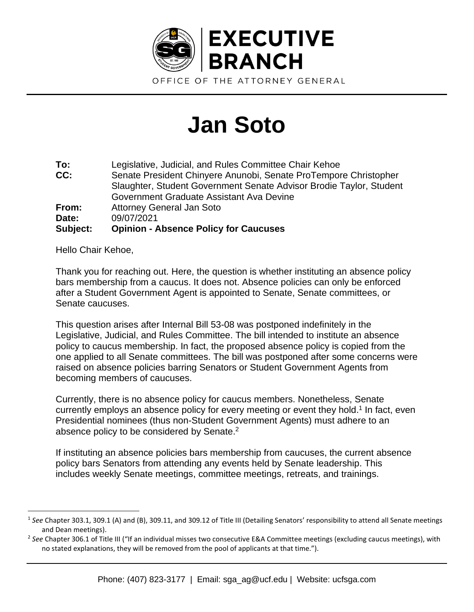

## **Jan Soto**

| To:      | Legislative, Judicial, and Rules Committee Chair Kehoe              |
|----------|---------------------------------------------------------------------|
| CC:      | Senate President Chinyere Anunobi, Senate ProTempore Christopher    |
|          | Slaughter, Student Government Senate Advisor Brodie Taylor, Student |
|          | Government Graduate Assistant Ava Devine                            |
| From:    | <b>Attorney General Jan Soto</b>                                    |
| Date:    | 09/07/2021                                                          |
| Subject: | <b>Opinion - Absence Policy for Caucuses</b>                        |

Hello Chair Kehoe,

Thank you for reaching out. Here, the question is whether instituting an absence policy bars membership from a caucus. It does not. Absence policies can only be enforced after a Student Government Agent is appointed to Senate, Senate committees, or Senate caucuses.

This question arises after Internal Bill 53-08 was postponed indefinitely in the Legislative, Judicial, and Rules Committee. The bill intended to institute an absence policy to caucus membership. In fact, the proposed absence policy is copied from the one applied to all Senate committees. The bill was postponed after some concerns were raised on absence policies barring Senators or Student Government Agents from becoming members of caucuses.

Currently, there is no absence policy for caucus members. Nonetheless, Senate currently employs an absence policy for every meeting or event they hold. 1 In fact, even Presidential nominees (thus non-Student Government Agents) must adhere to an absence policy to be considered by Senate.<sup>2</sup>

If instituting an absence policies bars membership from caucuses, the current absence policy bars Senators from attending any events held by Senate leadership. This includes weekly Senate meetings, committee meetings, retreats, and trainings.

<sup>&</sup>lt;sup>1</sup> See Chapter 303.1, 309.1 (A) and (B), 309.11, and 309.12 of Title III (Detailing Senators' responsibility to attend all Senate meetings and Dean meetings).

<sup>2</sup> *See* Chapter 306.1 of Title III ("If an individual misses two consecutive E&A Committee meetings (excluding caucus meetings), with no stated explanations, they will be removed from the pool of applicants at that time.").